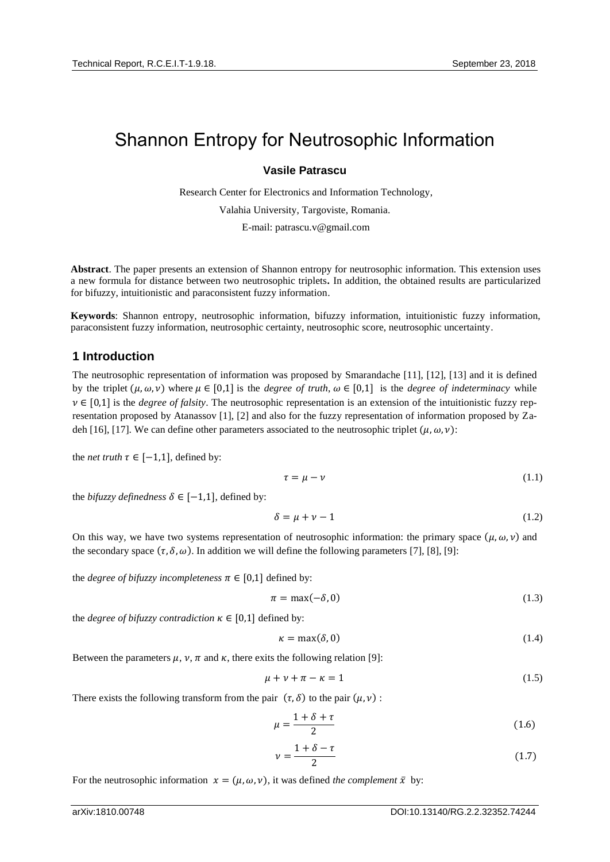# Shannon Entropy for Neutrosophic Information

#### **Vasile Patrascu**

Research Center for Electronics and Information Technology,

Valahia University, Targoviste, Romania.

E-mail: patrascu.v@gmail.com

**Abstract**. The paper presents an extension of Shannon entropy for neutrosophic information. This extension uses a new formula for distance between two neutrosophic triplets**.** In addition, the obtained results are particularized for bifuzzy, intuitionistic and paraconsistent fuzzy information.

**Keywords**: Shannon entropy, neutrosophic information, bifuzzy information, intuitionistic fuzzy information, paraconsistent fuzzy information, neutrosophic certainty, neutrosophic score, neutrosophic uncertainty.

## **1 Introduction**

The neutrosophic representation of information was proposed by Smarandache [11], [12], [13] and it is defined by the triplet  $(\mu, \omega, \nu)$  where  $\mu \in [0,1]$  is the *degree of truth*,  $\omega \in [0,1]$  is the *degree of indeterminacy* while  $v \in [0,1]$  is the *degree of falsity*. The neutrosophic representation is an extension of the intuitionistic fuzzy representation proposed by Atanassov [1], [2] and also for the fuzzy representation of information proposed by Zadeh [16], [17]. We can define other parameters associated to the neutrosophic triplet  $(\mu, \omega, \nu)$ :

the *net truth*  $\tau \in [-1,1]$ , defined by:

$$
\tau = \mu - \nu \tag{1.1}
$$

the *bifuzzy definedness*  $\delta \in [-1,1]$ , defined by:

$$
\delta = \mu + \nu - 1 \tag{1.2}
$$

On this way, we have two systems representation of neutrosophic information: the primary space  $(\mu, \omega, \nu)$  and the secondary space  $(\tau, \delta, \omega)$ . In addition we will define the following parameters [7], [8], [9]:

the *degree of bifuzzy incompleteness*  $\pi \in [0,1]$  defined by:

$$
\pi = \max(-\delta, 0) \tag{1.3}
$$

the *degree of bifuzzy contradiction*  $\kappa \in [0,1]$  defined by:

$$
\kappa = \max(\delta, 0) \tag{1.4}
$$

Between the parameters  $\mu$ ,  $\nu$ ,  $\pi$  and  $\kappa$ , there exits the following relation [9]:

$$
\mu + \nu + \pi - \kappa = 1 \tag{1.5}
$$

There exists the following transform from the pair  $(\tau, \delta)$  to the pair  $(\mu, \nu)$ :

$$
\mu = \frac{1 + \delta + \tau}{2} \tag{1.6}
$$

$$
\nu = \frac{1 + \delta - \tau}{2} \tag{1.7}
$$

For the neutrosophic information  $x = (\mu, \omega, \nu)$ , it was defined *the complement*  $\bar{x}$  by: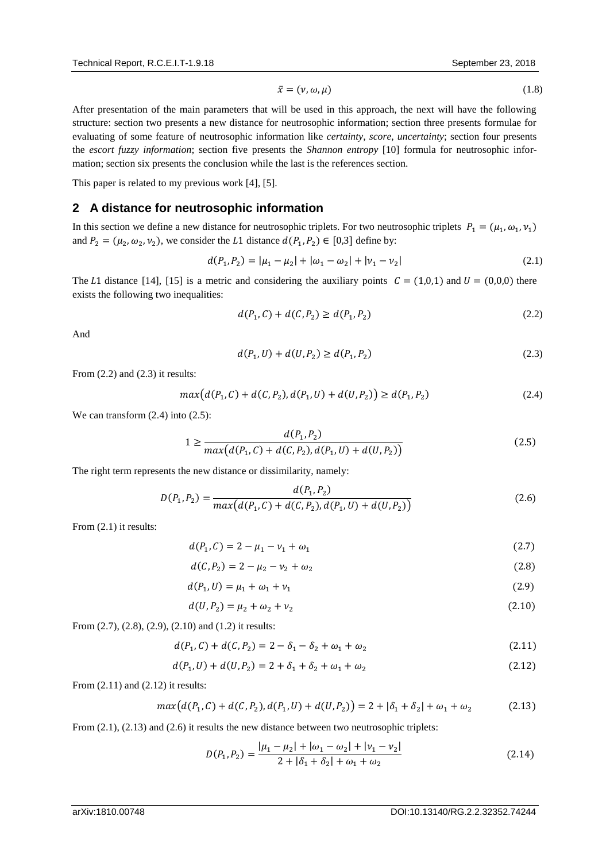$$
\bar{x} = (\nu, \omega, \mu) \tag{1.8}
$$

After presentation of the main parameters that will be used in this approach, the next will have the following structure: section two presents a new distance for neutrosophic information; section three presents formulae for evaluating of some feature of neutrosophic information like *certainty*, *score*, *uncertainty*; section four presents the *escort fuzzy information*; section five presents the *Shannon entropy* [10] formula for neutrosophic information; section six presents the conclusion while the last is the references section.

This paper is related to my previous work [4], [5].

### **2 A distance for neutrosophic information**

In this section we define a new distance for neutrosophic triplets. For two neutrosophic triplets  $P_1 = (\mu_1, \omega_1, \nu_1)$ and  $P_2 = (\mu_2, \omega_2, \nu_2)$ , we consider the L1 distance  $d(P_1, P_2) \in [0, 3]$  define by:

$$
d(P_1, P_2) = |\mu_1 - \mu_2| + |\omega_1 - \omega_2| + |\nu_1 - \nu_2| \tag{2.1}
$$

The L1 distance [14], [15] is a metric and considering the auxiliary points  $C = (1,0,1)$  and  $U = (0,0,0)$  there exists the following two inequalities:

$$
d(P_1, C) + d(C, P_2) \ge d(P_1, P_2)
$$
\n(2.2)

And

$$
d(P_1, U) + d(U, P_2) \ge d(P_1, P_2)
$$
\n(2.3)

From (2.2) and (2.3) it results:

$$
max(d(P_1, C) + d(C, P_2), d(P_1, U) + d(U, P_2)) \ge d(P_1, P_2)
$$
\n(2.4)

We can transform  $(2.4)$  into  $(2.5)$ :

$$
1 \ge \frac{d(P_1, P_2)}{\max\{d(P_1, C) + d(C, P_2), d(P_1, U) + d(U, P_2)\}}
$$
\n(2.5)

The right term represents the new distance or dissimilarity, namely:

$$
D(P_1, P_2) = \frac{d(P_1, P_2)}{max(d(P_1, C) + d(C, P_2), d(P_1, U) + d(U, P_2))}
$$
\n(2.6)

From  $(2.1)$  it results:

$$
d(P_1, C) = 2 - \mu_1 - \nu_1 + \omega_1 \tag{2.7}
$$

$$
d(C, P_2) = 2 - \mu_2 - \nu_2 + \omega_2 \tag{2.8}
$$

$$
d(P_1, U) = \mu_1 + \omega_1 + \nu_1 \tag{2.9}
$$

$$
d(U, P_2) = \mu_2 + \omega_2 + \nu_2 \tag{2.10}
$$

From (2.7), (2.8), (2.9), (2.10) and (1.2) it results:

$$
d(P_1, C) + d(C, P_2) = 2 - \delta_1 - \delta_2 + \omega_1 + \omega_2 \tag{2.11}
$$

$$
d(P_1, U) + d(U, P_2) = 2 + \delta_1 + \delta_2 + \omega_1 + \omega_2 \tag{2.12}
$$

From  $(2.11)$  and  $(2.12)$  it results:

$$
max(d(P_1, C) + d(C, P_2), d(P_1, U) + d(U, P_2)) = 2 + |\delta_1 + \delta_2| + \omega_1 + \omega_2
$$
\n(2.13)

From  $(2.1)$ ,  $(2.13)$  and  $(2.6)$  it results the new distance between two neutrosophic triplets:

$$
D(P_1, P_2) = \frac{|\mu_1 - \mu_2| + |\omega_1 - \omega_2| + |\nu_1 - \nu_2|}{2 + |\delta_1 + \delta_2| + \omega_1 + \omega_2}
$$
\n(2.14)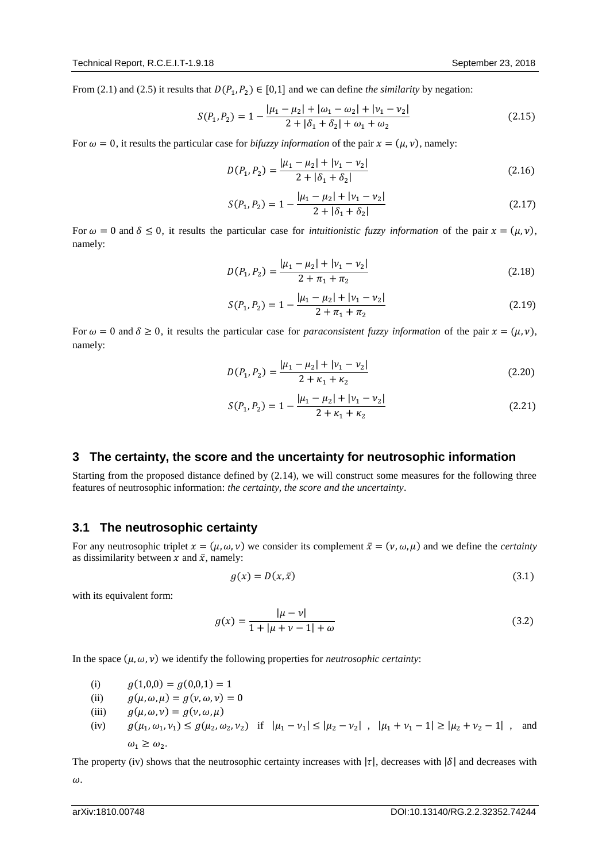From (2.1) and (2.5) it results that  $D(P_1, P_2) \in [0,1]$  and we can define *the similarity* by negation:

$$
S(P_1, P_2) = 1 - \frac{|\mu_1 - \mu_2| + |\omega_1 - \omega_2| + |\nu_1 - \nu_2|}{2 + |\delta_1 + \delta_2| + \omega_1 + \omega_2}
$$
(2.15)

For  $\omega = 0$ , it results the particular case for *bifuzzy information* of the pair  $x = (\mu, \nu)$ , namely:

$$
D(P_1, P_2) = \frac{|\mu_1 - \mu_2| + |\nu_1 - \nu_2|}{2 + |\delta_1 + \delta_2|}
$$
\n(2.16)

$$
S(P_1, P_2) = 1 - \frac{|\mu_1 - \mu_2| + |\nu_1 - \nu_2|}{2 + |\delta_1 + \delta_2|}
$$
 (2.17)

For  $\omega = 0$  and  $\delta \leq 0$ , it results the particular case for *intuitionistic fuzzy information* of the pair  $x = (\mu, \nu)$ , namely:

$$
D(P_1, P_2) = \frac{|\mu_1 - \mu_2| + |\nu_1 - \nu_2|}{2 + \pi_1 + \pi_2}
$$
\n(2.18)

$$
S(P_1, P_2) = 1 - \frac{|\mu_1 - \mu_2| + |\nu_1 - \nu_2|}{2 + \pi_1 + \pi_2}
$$
 (2.19)

For  $\omega = 0$  and  $\delta \ge 0$ , it results the particular case for *paraconsistent fuzzy information* of the pair  $x = (\mu, \nu)$ , namely:

$$
D(P_1, P_2) = \frac{|\mu_1 - \mu_2| + |\nu_1 - \nu_2|}{2 + \kappa_1 + \kappa_2}
$$
\n(2.20)

$$
S(P_1, P_2) = 1 - \frac{|\mu_1 - \mu_2| + |\nu_1 - \nu_2|}{2 + \kappa_1 + \kappa_2}
$$
 (2.21)

#### **3 The certainty, the score and the uncertainty for neutrosophic information**

Starting from the proposed distance defined by (2.14), we will construct some measures for the following three features of neutrosophic information: *the certainty, the score and the uncertainty*.

#### **3.1 The neutrosophic certainty**

For any neutrosophic triplet  $x = (\mu, \omega, \nu)$  we consider its complement  $\bar{x} = (\nu, \omega, \mu)$  and we define the *certainty* as dissimilarity between x and  $\bar{x}$ , namely:

$$
g(x) = D(x, \bar{x})
$$
\n(3.1)

with its equivalent form:

$$
g(x) = \frac{|\mu - \nu|}{1 + |\mu + \nu - 1| + \omega} \tag{3.2}
$$

In the space  $(\mu, \omega, \nu)$  we identify the following properties for *neutrosophic certainty*:

- (i)  $g(1,0,0) = g(0,0,1) = 1$
- (ii)  $g(\mu, \omega, \mu) = g(\nu, \omega, \nu) = 0$
- (iii)  $g(\mu, \omega, \nu) = g(\nu, \omega, \mu)$
- (iv)  $g(\mu_1, \omega_1, \nu_1) \le g(\mu_2, \omega_2, \nu_2)$  if  $|\mu_1 \nu_1| \le |\mu_2 \nu_2|$ ,  $|\mu_1 + \nu_1 1| \ge |\mu_2 + \nu_2 1|$ , and  $\omega_1 \geq \omega_2$ .

The property (iv) shows that the neutrosophic certainty increases with  $|\tau|$ , decreases with  $|\delta|$  and decreases with  $\omega$ .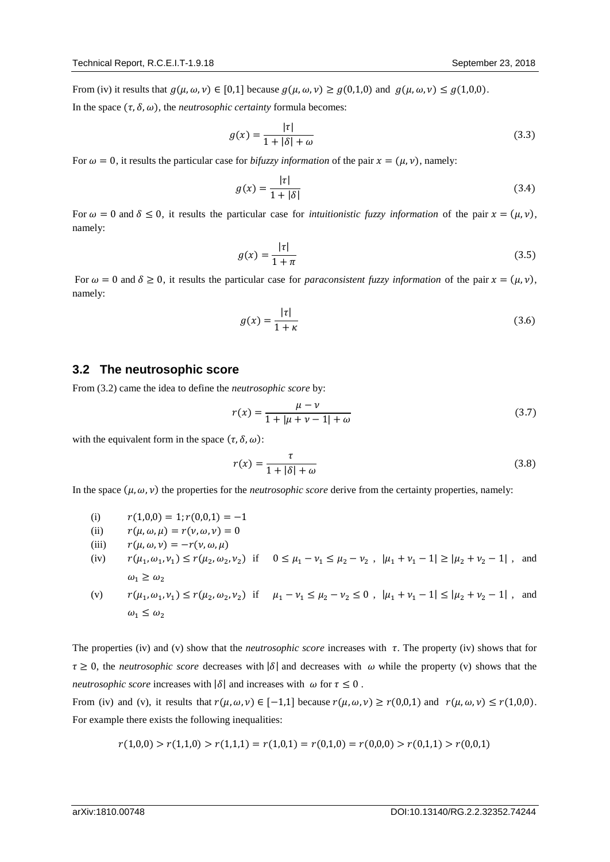From (iv) it results that  $g(\mu, \omega, \nu) \in [0, 1]$  because  $g(\mu, \omega, \nu) \ge g(0, 1, 0)$  and  $g(\mu, \omega, \nu) \le g(1, 0, 0)$ .

In the space  $(\tau, \delta, \omega)$ , the *neutrosophic certainty* formula becomes:

$$
g(x) = \frac{|\tau|}{1 + |\delta| + \omega} \tag{3.3}
$$

For  $\omega = 0$ , it results the particular case for *bifuzzy information* of the pair  $x = (\mu, \nu)$ , namely:

$$
g(x) = \frac{|\tau|}{1 + |\delta|} \tag{3.4}
$$

For  $\omega = 0$  and  $\delta \leq 0$ , it results the particular case for *intuitionistic fuzzy information* of the pair  $x = (\mu, \nu)$ , namely:

$$
g(x) = \frac{|\tau|}{1+\pi} \tag{3.5}
$$

For  $\omega = 0$  and  $\delta \ge 0$ , it results the particular case for *paraconsistent fuzzy information* of the pair  $x = (\mu, \nu)$ , namely:

$$
g(x) = \frac{|\tau|}{1+\kappa} \tag{3.6}
$$

## **3.2 The neutrosophic score**

From (3.2) came the idea to define the *neutrosophic score* by:

$$
r(x) = \frac{\mu - \nu}{1 + |\mu + \nu - 1| + \omega} \tag{3.7}
$$

with the equivalent form in the space  $(\tau, \delta, \omega)$ :

$$
r(x) = \frac{\tau}{1 + |\delta| + \omega} \tag{3.8}
$$

In the space  $(\mu, \omega, \nu)$  the properties for the *neutrosophic score* derive from the certainty properties, namely:

(i)  $r(1,0,0) = 1; r(0,0,1) = -1$ 

(ii) 
$$
r(\mu, \omega, \mu) = r(\nu, \omega, \nu) = 0
$$

- (iii)  $r(\mu, \omega, \nu) = -r(\nu, \omega, \mu)$
- (iv)  $r(\mu_1, \omega_1, \nu_1) \le r(\mu_2, \omega_2, \nu_2)$  if  $0 \le \mu_1 \nu_1 \le \mu_2 \nu_2$ ,  $|\mu_1 + \nu_1 1| \ge |\mu_2 + \nu_2 1|$ , and  $\omega_1 \geq \omega_2$

(v)  $r(\mu_1, \omega_1, \nu_1) \le r(\mu_2, \omega_2, \nu_2)$  if  $\mu_1 - \nu_1 \le \mu_2 - \nu_2 \le 0$ ,  $|\mu_1 + \nu_1 - 1| \le |\mu_2 + \nu_2 - 1|$ , and  $\omega_1 \leq \omega_2$ 

The properties (iv) and (v) show that the *neutrosophic score* increases with  $\tau$ . The property (iv) shows that for  $\tau \geq 0$ , the *neutrosophic score* decreases with  $|\delta|$  and decreases with  $\omega$  while the property (v) shows that the *neutrosophic score* increases with  $|\delta|$  and increases with  $\omega$  for  $\tau \leq 0$ .

From (iv) and (v), it results that  $r(\mu, \omega, \nu) \in [-1, 1]$  because  $r(\mu, \omega, \nu) \ge r(0, 0, 1)$  and  $r(\mu, \omega, \nu) \le r(1, 0, 0)$ . For example there exists the following inequalities:

$$
r(1,0,0) > r(1,1,0) > r(1,1,1) = r(1,0,1) = r(0,1,0) = r(0,0,0) > r(0,1,1) > r(0,0,1)
$$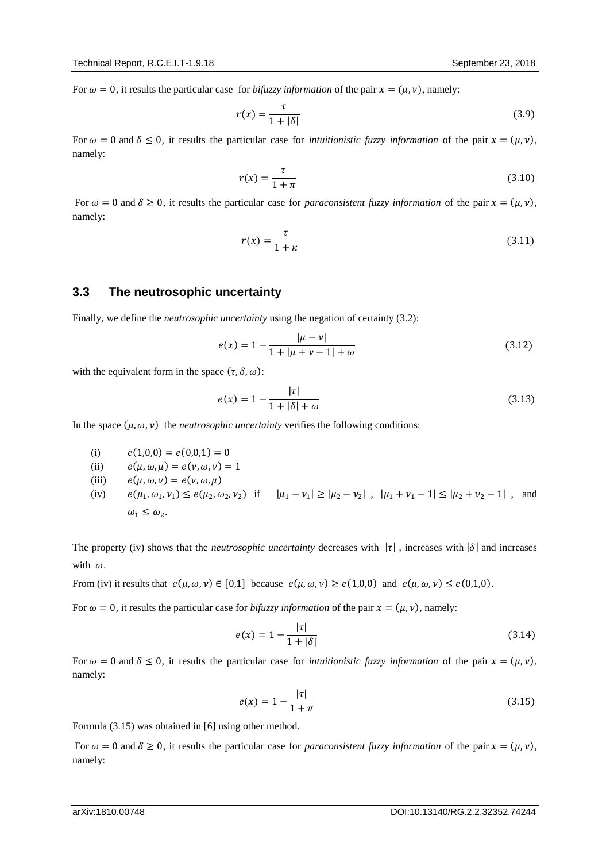For  $\omega = 0$ , it results the particular case for *bifuzzy information* of the pair  $x = (\mu, \nu)$ , namely:

$$
r(x) = \frac{\tau}{1 + |\delta|} \tag{3.9}
$$

For  $\omega = 0$  and  $\delta \leq 0$ , it results the particular case for *intuitionistic fuzzy information* of the pair  $x = (\mu, \nu)$ , namely:

$$
r(x) = \frac{\tau}{1 + \pi} \tag{3.10}
$$

For  $\omega = 0$  and  $\delta \ge 0$ , it results the particular case for *paraconsistent fuzzy information* of the pair  $x = (\mu, \nu)$ , namely:

$$
r(x) = \frac{\tau}{1 + \kappa} \tag{3.11}
$$

## **3.3 The neutrosophic uncertainty**

Finally, we define the *neutrosophic uncertainty* using the negation of certainty (3.2):

$$
e(x) = 1 - \frac{|\mu - \nu|}{1 + |\mu + \nu - 1| + \omega} \tag{3.12}
$$

with the equivalent form in the space  $(\tau, \delta, \omega)$ :

$$
e(x) = 1 - \frac{|\tau|}{1 + |\delta| + \omega} \tag{3.13}
$$

In the space  $(\mu, \omega, \nu)$  the *neutrosophic uncertainty* verifies the following conditions:

- (i)  $e(1,0,0) = e(0,0,1) = 0$
- (ii)  $e(\mu, \omega, \mu) = e(\nu, \omega, \nu) = 1$
- (iii)  $e(\mu, \omega, \nu) = e(\nu, \omega, \mu)$
- (iv)  $e(\mu_1, \omega_1, \nu_1) \leq e(\mu_2, \omega_2, \nu_2)$  if  $|\mu_1 \nu_1| \geq |\mu_2 \nu_2|$ ,  $|\mu_1 + \nu_1 1| \leq |\mu_2 + \nu_2 1|$ , and  $\omega_1 \leq \omega_2$ .

The property (iv) shows that the *neutrosophic uncertainty* decreases with  $|\tau|$ , increases with  $|\delta|$  and increases with  $\omega$ .

From (iv) it results that  $e(\mu, \omega, \nu) \in [0,1]$  because  $e(\mu, \omega, \nu) \ge e(1,0,0)$  and  $e(\mu, \omega, \nu) \le e(0,1,0)$ .

For  $\omega = 0$ , it results the particular case for *bifuzzy information* of the pair  $x = (\mu, \nu)$ , namely:

$$
e(x) = 1 - \frac{|\tau|}{1 + |\delta|} \tag{3.14}
$$

For  $\omega = 0$  and  $\delta \leq 0$ , it results the particular case for *intuitionistic fuzzy information* of the pair  $x = (\mu, \nu)$ , namely:

$$
e(x) = 1 - \frac{|\tau|}{1 + \pi} \tag{3.15}
$$

Formula (3.15) was obtained in [6] using other method.

For  $\omega = 0$  and  $\delta \ge 0$ , it results the particular case for *paraconsistent fuzzy information* of the pair  $x = (\mu, \nu)$ , namely: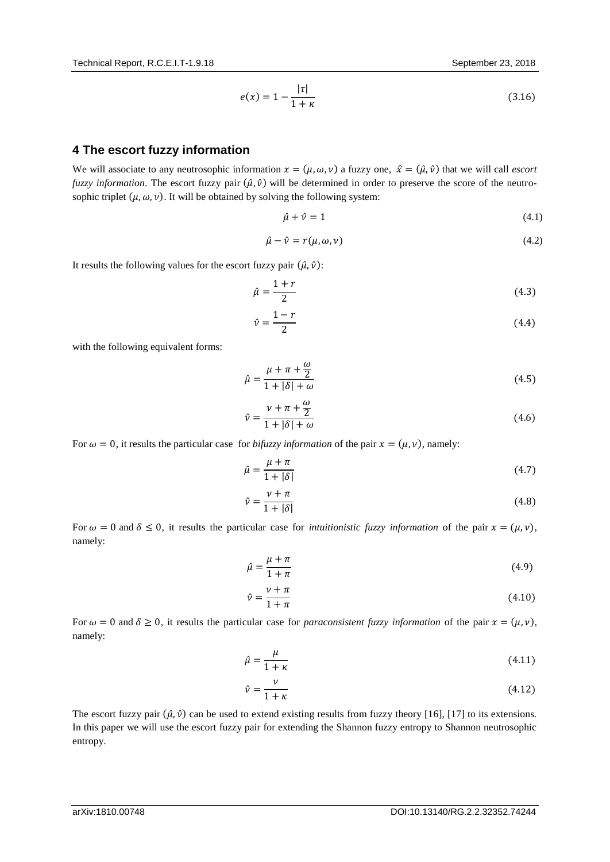$$
e(x) = 1 - \frac{|\tau|}{1 + \kappa} \tag{3.16}
$$

# **4 The escort fuzzy information**

We will associate to any neutrosophic information  $x = (\mu, \omega, \nu)$  a fuzzy one,  $\hat{x} = (\hat{\mu}, \hat{\nu})$  that we will call *escort fuzzy information*. The escort fuzzy pair  $(\hat{\mu}, \hat{\nu})$  will be determined in order to preserve the score of the neutrosophic triplet  $(\mu, \omega, \nu)$ . It will be obtained by solving the following system:

$$
\hat{\mu} + \hat{\nu} = 1 \tag{4.1}
$$

$$
\hat{\mu} - \hat{\nu} = r(\mu, \omega, \nu) \tag{4.2}
$$

It results the following values for the escort fuzzy pair  $(\hat{\mu}, \hat{\nu})$ :

$$
\hat{\mu} = \frac{1+r}{2} \tag{4.3}
$$

$$
\hat{\nu} = \frac{1 - r}{2} \tag{4.4}
$$

with the following equivalent forms:

$$
\hat{\mu} = \frac{\mu + \pi + \frac{\omega}{2}}{1 + |\delta| + \omega} \tag{4.5}
$$

$$
\hat{\nu} = \frac{\nu + \pi + \frac{\omega}{2}}{1 + |\delta| + \omega} \tag{4.6}
$$

For  $\omega = 0$ , it results the particular case for *bifuzzy information* of the pair  $x = (\mu, \nu)$ , namely:

$$
\hat{\mu} = \frac{\mu + \pi}{1 + |\delta|} \tag{4.7}
$$

$$
\hat{\nu} = \frac{\nu + \pi}{1 + |\delta|} \tag{4.8}
$$

For  $\omega = 0$  and  $\delta \leq 0$ , it results the particular case for *intuitionistic fuzzy information* of the pair  $x = (\mu, v)$ , namely:

$$
\hat{\mu} = \frac{\mu + \pi}{1 + \pi} \tag{4.9}
$$

$$
\hat{\nu} = \frac{\nu + \pi}{1 + \pi} \tag{4.10}
$$

For  $\omega = 0$  and  $\delta \ge 0$ , it results the particular case for *paraconsistent fuzzy information* of the pair  $x = (\mu, \nu)$ , namely:

$$
\hat{\mu} = \frac{\mu}{1 + \kappa} \tag{4.11}
$$

$$
\hat{\nu} = \frac{\nu}{1 + \kappa} \tag{4.12}
$$

The escort fuzzy pair  $(\hat{\mu}, \hat{\nu})$  can be used to extend existing results from fuzzy theory [16], [17] to its extensions. In this paper we will use the escort fuzzy pair for extending the Shannon fuzzy entropy to Shannon neutrosophic entropy.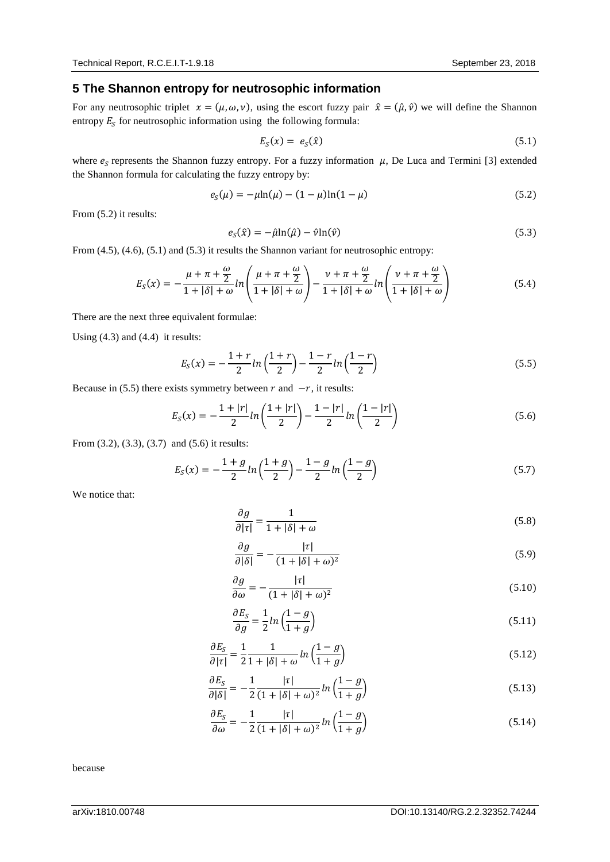## **5 The Shannon entropy for neutrosophic information**

For any neutrosophic triplet  $x = (\mu, \omega, \nu)$ , using the escort fuzzy pair  $\hat{x} = (\hat{\mu}, \hat{\nu})$  we will define the Shannon entropy  $E<sub>S</sub>$  for neutrosophic information using the following formula:

$$
E_S(x) = e_S(\hat{x}) \tag{5.1}
$$

where  $e_s$  represents the Shannon fuzzy entropy. For a fuzzy information  $\mu$ , De Luca and Termini [3] extended the Shannon formula for calculating the fuzzy entropy by:

$$
e_S(\mu) = -\mu \ln(\mu) - (1 - \mu) \ln(1 - \mu)
$$
\n(5.2)

From (5.2) it results:

$$
e_S(\hat{x}) = -\hat{\mu}\ln(\hat{\mu}) - \hat{\nu}\ln(\hat{\nu})\tag{5.3}
$$

From (4.5), (4.6), (5.1) and (5.3) it results the Shannon variant for neutrosophic entropy:

$$
E_S(x) = -\frac{\mu + \pi + \frac{\omega}{2}}{1 + |\delta| + \omega} ln\left(\frac{\mu + \pi + \frac{\omega}{2}}{1 + |\delta| + \omega}\right) - \frac{\nu + \pi + \frac{\omega}{2}}{1 + |\delta| + \omega} ln\left(\frac{\nu + \pi + \frac{\omega}{2}}{1 + |\delta| + \omega}\right)
$$
(5.4)

There are the next three equivalent formulae:

Using (4.3) and (4.4) it results:

$$
E_S(x) = -\frac{1+r}{2}ln\left(\frac{1+r}{2}\right) - \frac{1-r}{2}ln\left(\frac{1-r}{2}\right)
$$
\n(5.5)

Because in (5.5) there exists symmetry between  $r$  and  $-r$ , it results:

$$
E_S(x) = -\frac{1+|r|}{2}\ln\left(\frac{1+|r|}{2}\right) - \frac{1-|r|}{2}\ln\left(\frac{1-|r|}{2}\right) \tag{5.6}
$$

From (3.2), (3.3), (3.7) and (5.6) it results:

$$
E_S(x) = -\frac{1+g}{2}\ln\left(\frac{1+g}{2}\right) - \frac{1-g}{2}\ln\left(\frac{1-g}{2}\right) \tag{5.7}
$$

We notice that:

$$
\frac{\partial g}{\partial |\tau|} = \frac{1}{1 + |\delta| + \omega} \tag{5.8}
$$

$$
\frac{\partial g}{\partial |\delta|} = -\frac{|\tau|}{(1+|\delta|+\omega)^2} \tag{5.9}
$$

$$
\frac{\partial g}{\partial \omega} = -\frac{|\tau|}{(1+|\delta|+\omega)^2} \tag{5.10}
$$

$$
\frac{\partial E_S}{\partial g} = \frac{1}{2} \ln \left( \frac{1 - g}{1 + g} \right) \tag{5.11}
$$

$$
\frac{\partial E_S}{\partial |\tau|} = \frac{1}{2} \frac{1}{1 + |\delta| + \omega} \ln \left( \frac{1 - g}{1 + g} \right) \tag{5.12}
$$

$$
\frac{\partial E_S}{\partial |\delta|} = -\frac{1}{2} \frac{|\tau|}{(1+|\delta|+\omega)^2} \ln\left(\frac{1-g}{1+g}\right) \tag{5.13}
$$

$$
\frac{\partial E_S}{\partial \omega} = -\frac{1}{2} \frac{|\tau|}{(1+|\delta|+\omega)^2} \ln\left(\frac{1-g}{1+g}\right) \tag{5.14}
$$

because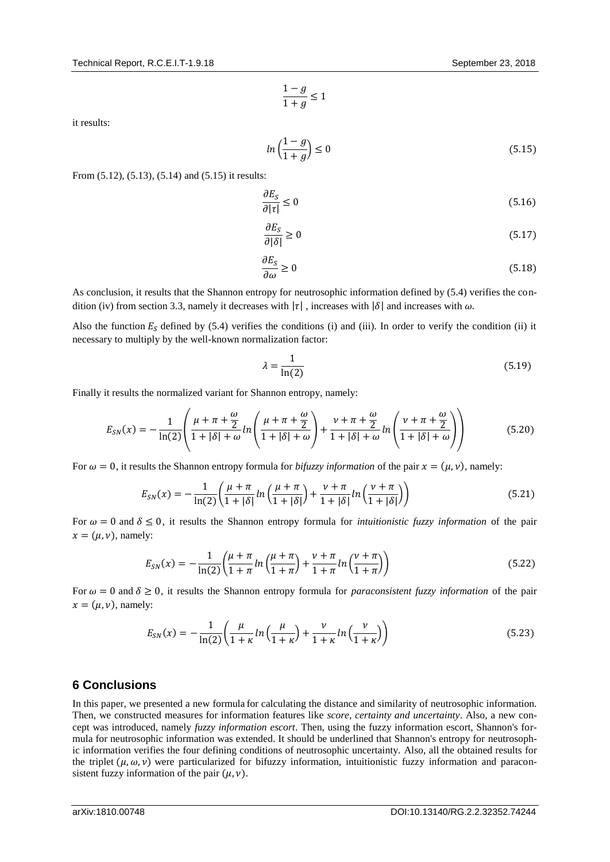$$
\frac{1-g}{1+g}\leq 1
$$

it results:

$$
ln\left(\frac{1-g}{1+g}\right) \le 0\tag{5.15}
$$

From (5.12), (5.13), (5.14) and (5.15) it results:

$$
\frac{\partial E_S}{\partial |\tau|} \le 0 \tag{5.16}
$$

$$
\frac{\partial E_S}{\partial |\delta|} \ge 0 \tag{5.17}
$$

$$
\frac{\partial E_S}{\partial \omega} \ge 0 \tag{5.18}
$$

As conclusion, it results that the Shannon entropy for neutrosophic information defined by (5.4) verifies the condition (iv) from section 3.3, namely it decreases with  $|\tau|$ , increases with  $|\delta|$  and increases with  $\omega$ .

Also the function  $E<sub>S</sub>$  defined by (5.4) verifies the conditions (i) and (iii). In order to verify the condition (ii) it necessary to multiply by the well-known normalization factor:

$$
\lambda = \frac{1}{\ln(2)}\tag{5.19}
$$

Finally it results the normalized variant for Shannon entropy, namely:

$$
E_{SN}(x) = -\frac{1}{\ln(2)} \left( \frac{\mu + \pi + \frac{\omega}{2}}{1 + |\delta| + \omega} ln \left( \frac{\mu + \pi + \frac{\omega}{2}}{1 + |\delta| + \omega} \right) + \frac{\nu + \pi + \frac{\omega}{2}}{1 + |\delta| + \omega} ln \left( \frac{\nu + \pi + \frac{\omega}{2}}{1 + |\delta| + \omega} \right) \right) \tag{5.20}
$$

For  $\omega = 0$ , it results the Shannon entropy formula for *bifuzzy information* of the pair  $x = (\mu, v)$ , namely:

$$
E_{SN}(x) = -\frac{1}{\ln(2)} \left( \frac{\mu + \pi}{1 + |\delta|} \ln \left( \frac{\mu + \pi}{1 + |\delta|} \right) + \frac{\nu + \pi}{1 + |\delta|} \ln \left( \frac{\nu + \pi}{1 + |\delta|} \right) \right) \tag{5.21}
$$

For  $\omega = 0$  and  $\delta \leq 0$ , it results the Shannon entropy formula for *intuitionistic fuzzy information* of the pair  $x = (\mu, \nu)$ , namely:

$$
E_{SN}(x) = -\frac{1}{\ln(2)} \left( \frac{\mu + \pi}{1 + \pi} \ln \left( \frac{\mu + \pi}{1 + \pi} \right) + \frac{\nu + \pi}{1 + \pi} \ln \left( \frac{\nu + \pi}{1 + \pi} \right) \right) \tag{5.22}
$$

For  $\omega = 0$  and  $\delta \ge 0$ , it results the Shannon entropy formula for *paraconsistent fuzzy information* of the pair  $x = (\mu, \nu)$ , namely:

$$
E_{SN}(x) = -\frac{1}{\ln(2)} \left( \frac{\mu}{1+\kappa} \ln \left( \frac{\mu}{1+\kappa} \right) + \frac{\nu}{1+\kappa} \ln \left( \frac{\nu}{1+\kappa} \right) \right) \tag{5.23}
$$

### **6 Conclusions**

In this paper, we presented a new formula for calculating the distance and similarity of neutrosophic information. Then, we constructed measures for information features like *score, certainty and uncertainty*. Also, a new concept was introduced, namely *fuzzy information escort*. Then, using the fuzzy information escort, Shannon's formula for neutrosophic information was extended. It should be underlined that Shannon's entropy for neutrosophic information verifies the four defining conditions of neutrosophic uncertainty. Also, all the obtained results for the triplet  $(\mu, \omega, \nu)$  were particularized for bifuzzy information, intuitionistic fuzzy information and paraconsistent fuzzy information of the pair  $(\mu, \nu)$ .